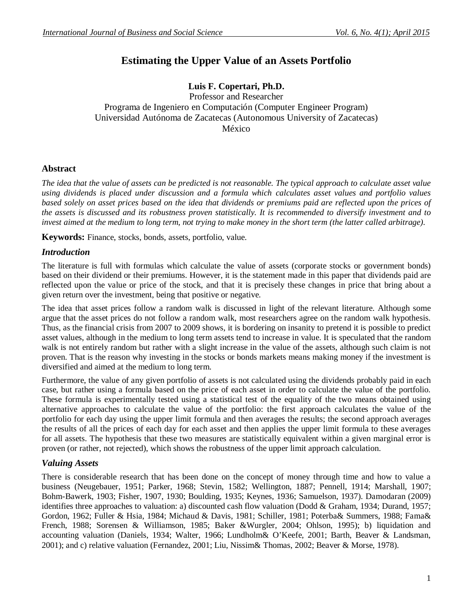# **Estimating the Upper Value of an Assets Portfolio**

# **Luis F. Copertari, Ph.D.**

Professor and Researcher Programa de Ingeniero en Computación (Computer Engineer Program) Universidad Autónoma de Zacatecas (Autonomous University of Zacatecas) México

## **Abstract**

*The idea that the value of assets can be predicted is not reasonable. The typical approach to calculate asset value using dividends is placed under discussion and a formula which calculates asset values and portfolio values based solely on asset prices based on the idea that dividends or premiums paid are reflected upon the prices of the assets is discussed and its robustness proven statistically. It is recommended to diversify investment and to invest aimed at the medium to long term, not trying to make money in the short term (the latter called arbitrage).*

**Keywords:** Finance, stocks, bonds, assets, portfolio, value.

### *Introduction*

The literature is full with formulas which calculate the value of assets (corporate stocks or government bonds) based on their dividend or their premiums. However, it is the statement made in this paper that dividends paid are reflected upon the value or price of the stock, and that it is precisely these changes in price that bring about a given return over the investment, being that positive or negative.

The idea that asset prices follow a random walk is discussed in light of the relevant literature. Although some argue that the asset prices do not follow a random walk, most researchers agree on the random walk hypothesis. Thus, as the financial crisis from 2007 to 2009 shows, it is bordering on insanity to pretend it is possible to predict asset values, although in the medium to long term assets tend to increase in value. It is speculated that the random walk is not entirely random but rather with a slight increase in the value of the assets, although such claim is not proven. That is the reason why investing in the stocks or bonds markets means making money if the investment is diversified and aimed at the medium to long term.

Furthermore, the value of any given portfolio of assets is not calculated using the dividends probably paid in each case, but rather using a formula based on the price of each asset in order to calculate the value of the portfolio. These formula is experimentally tested using a statistical test of the equality of the two means obtained using alternative approaches to calculate the value of the portfolio: the first approach calculates the value of the portfolio for each day using the upper limit formula and then averages the results; the second approach averages the results of all the prices of each day for each asset and then applies the upper limit formula to these averages for all assets. The hypothesis that these two measures are statistically equivalent within a given marginal error is proven (or rather, not rejected), which shows the robustness of the upper limit approach calculation.

## *Valuing Assets*

There is considerable research that has been done on the concept of money through time and how to value a business (Neugebauer, 1951; Parker, 1968; Stevin, 1582; Wellington, 1887; Pennell, 1914; Marshall, 1907; Bohm-Bawerk, 1903; Fisher, 1907, 1930; Boulding, 1935; Keynes, 1936; Samuelson, 1937). Damodaran (2009) identifies three approaches to valuation: a) discounted cash flow valuation (Dodd & Graham, 1934; Durand, 1957; Gordon, 1962; Fuller & Hsia, 1984; Michaud & Davis, 1981; Schiller, 1981; Poterba& Summers, 1988; Fama& French, 1988; Sorensen & Williamson, 1985; Baker &Wurgler, 2004; Ohlson, 1995); b) liquidation and accounting valuation (Daniels, 1934; Walter, 1966; Lundholm& O'Keefe, 2001; Barth, Beaver & Landsman, 2001); and c) relative valuation (Fernandez, 2001; Liu, Nissim& Thomas, 2002; Beaver & Morse, 1978).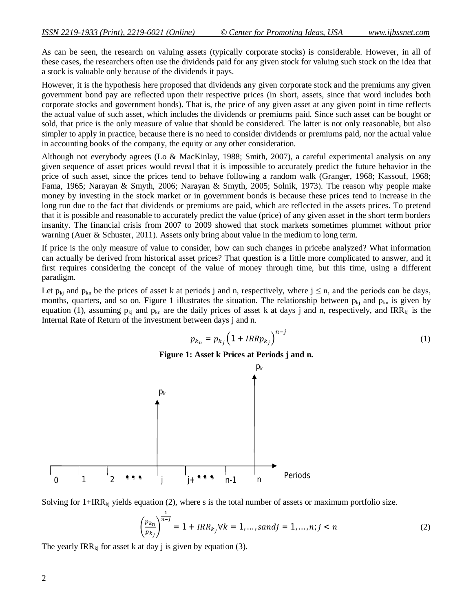As can be seen, the research on valuing assets (typically corporate stocks) is considerable. However, in all of these cases, the researchers often use the dividends paid for any given stock for valuing such stock on the idea that a stock is valuable only because of the dividends it pays.

However, it is the hypothesis here proposed that dividends any given corporate stock and the premiums any given government bond pay are reflected upon their respective prices (in short, assets, since that word includes both corporate stocks and government bonds). That is, the price of any given asset at any given point in time reflects the actual value of such asset, which includes the dividends or premiums paid. Since such asset can be bought or sold, that price is the only measure of value that should be considered. The latter is not only reasonable, but also simpler to apply in practice, because there is no need to consider dividends or premiums paid, nor the actual value in accounting books of the company, the equity or any other consideration.

Although not everybody agrees (Lo & MacKinlay, 1988; Smith, 2007), a careful experimental analysis on any given sequence of asset prices would reveal that it is impossible to accurately predict the future behavior in the price of such asset, since the prices tend to behave following a random walk (Granger, 1968; Kassouf, 1968; Fama, 1965; Narayan & Smyth, 2006; Narayan & Smyth, 2005; Solnik, 1973). The reason why people make money by investing in the stock market or in government bonds is because these prices tend to increase in the long run due to the fact that dividends or premiums are paid, which are reflected in the assets prices. To pretend that it is possible and reasonable to accurately predict the value (price) of any given asset in the short term borders insanity. The financial crisis from 2007 to 2009 showed that stock markets sometimes plummet without prior warning (Auer & Schuster, 2011). Assets only bring about value in the medium to long term.

If price is the only measure of value to consider, how can such changes in pricebe analyzed? What information can actually be derived from historical asset prices? That question is a little more complicated to answer, and it first requires considering the concept of the value of money through time, but this time, using a different paradigm.

Let  $p_{ki}$  and  $p_{kn}$  be the prices of asset k at periods j and n, respectively, where  $j \le n$ , and the periods can be days, months, quarters, and so on. Figure 1 illustrates the situation. The relationship between  $p_{ki}$  and  $p_{kn}$  is given by equation (1), assuming  $p_{ki}$  and  $p_{kn}$  are the daily prices of asset k at days j and n, respectively, and IRR<sub>ki</sub> is the Internal Rate of Return of the investment between days j and n.

$$
p_{k_n} = p_{k_j} \left( 1 + IRR p_{k_j} \right)^{n-j} \tag{1}
$$

**Figure 1: Asset k Prices at Periods j and n.**



Solving for  $1+IRR_{ki}$  yields equation (2), where s is the total number of assets or maximum portfolio size.

$$
\left(\frac{p_{k_n}}{p_{k_j}}\right)^{\frac{1}{n-j}} = 1 + IRR_{k_j} \forall k = 1, ..., sandj = 1, ..., n; j < n
$$
 (2)

The yearly IRR $_{ki}$  for asset k at day j is given by equation (3).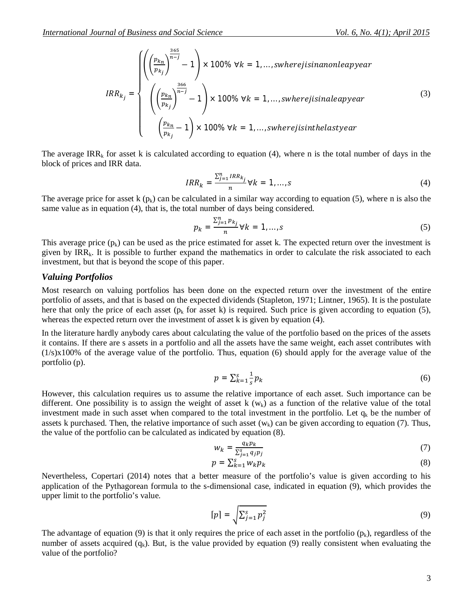$$
IRR_{k_j} = \begin{cases} \left( \left( \frac{p_{k_n}}{p_{k_j}} \right)^{\frac{365}{n-j}} - 1 \right) \times 100\% \forall k = 1, ..., \text{swherejisinanoneappear} \\ \left( \left( \frac{p_{k_n}}{p_{k_j}} \right)^{\frac{366}{n-j}} - 1 \right) \times 100\% \forall k = 1, ..., \text{swherejisinaleappear} \\ \left( \frac{p_{k_n}}{p_{k_j}} - 1 \right) \times 100\% \forall k = 1, ..., \text{swherejisinthelastyear} \end{cases} \tag{3}
$$

The average IRR<sub>k</sub> for asset k is calculated according to equation (4), where n is the total number of days in the block of prices and IRR data.

$$
IRR_k = \frac{\sum_{j=1}^{n} IRR_{kj}}{n} \forall k = 1, ..., s
$$
\n
$$
(4)
$$

The average price for asset k  $(p_k)$  can be calculated in a similar way according to equation (5), where n is also the same value as in equation (4), that is, the total number of days being considered.

$$
p_k = \frac{\sum_{j=1}^n p_{kj}}{n} \forall k = 1, \dots, s \tag{5}
$$

This average price  $(p_k)$  can be used as the price estimated for asset k. The expected return over the investment is given by  $IRR_k$ . It is possible to further expand the mathematics in order to calculate the risk associated to each investment, but that is beyond the scope of this paper.

#### *Valuing Portfolios*

Most research on valuing portfolios has been done on the expected return over the investment of the entire portfolio of assets, and that is based on the expected dividends (Stapleton, 1971; Lintner, 1965). It is the postulate here that only the price of each asset ( $p_k$  for asset k) is required. Such price is given according to equation (5), whereas the expected return over the investment of asset k is given by equation (4).

In the literature hardly anybody cares about calculating the value of the portfolio based on the prices of the assets it contains. If there are s assets in a portfolio and all the assets have the same weight, each asset contributes with (1/s)x100% of the average value of the portfolio. Thus, equation (6) should apply for the average value of the portfolio (p).

$$
p = \sum_{k=1}^{s} \frac{1}{s} p_k \tag{6}
$$

However, this calculation requires us to assume the relative importance of each asset. Such importance can be different. One possibility is to assign the weight of asset  $k (w_k)$  as a function of the relative value of the total investment made in such asset when compared to the total investment in the portfolio. Let  $q_k$  be the number of assets k purchased. Then, the relative importance of such asset  $(w_k)$  can be given according to equation (7). Thus, the value of the portfolio can be calculated as indicated by equation (8).

$$
W_k = \frac{q_k p_k}{\sum_{j=1}^s q_j p_j} \tag{7}
$$

$$
p = \sum_{k=1}^{s} w_k p_k \tag{8}
$$

Nevertheless, Copertari (2014) notes that a better measure of the portfolio's value is given according to his application of the Pythagorean formula to the s-dimensional case, indicated in equation (9), which provides the upper limit to the portfolio's value.

$$
[p] = \sqrt{\sum_{j=1}^{S} p_j^2} \tag{9}
$$

The advantage of equation (9) is that it only requires the price of each asset in the portfolio  $(p_k)$ , regardless of the number of assets acquired  $(q_k)$ . But, is the value provided by equation (9) really consistent when evaluating the value of the portfolio?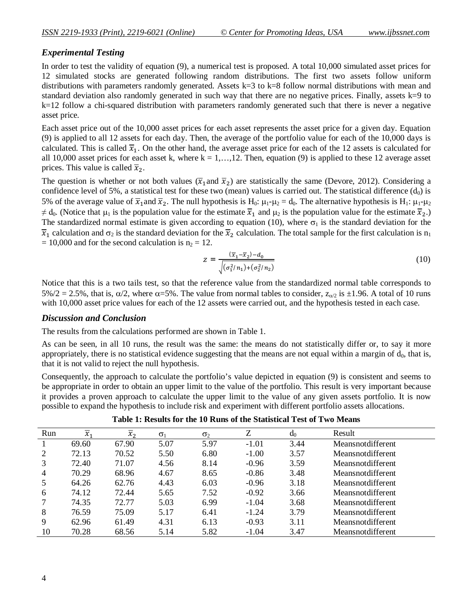#### *Experimental Testing*

In order to test the validity of equation (9), a numerical test is proposed. A total 10,000 simulated asset prices for 12 simulated stocks are generated following random distributions. The first two assets follow uniform distributions with parameters randomly generated. Assets  $k=3$  to  $k=8$  follow normal distributions with mean and standard deviation also randomly generated in such way that there are no negative prices. Finally, assets  $k=9$  to k=12 follow a chi-squared distribution with parameters randomly generated such that there is never a negative asset price.

Each asset price out of the 10,000 asset prices for each asset represents the asset price for a given day. Equation (9) is applied to all 12 assets for each day. Then, the average of the portfolio value for each of the 10,000 days is calculated. This is called  $\overline{x}_1$ . On the other hand, the average asset price for each of the 12 assets is calculated for all 10,000 asset prices for each asset k, where  $k = 1, \ldots, 12$ . Then, equation (9) is applied to these 12 average asset prices. This value is called  $\overline{x}_2$ .

The question is whether or not both values ( $\overline{x}_1$  and  $\overline{x}_2$ ) are statistically the same (Devore, 2012). Considering a confidence level of 5%, a statistical test for these two (mean) values is carried out. The statistical difference  $(d_0)$  is 5% of the average value of  $\overline{x}_1$  and  $\overline{x}_2$ . The null hypothesis is H<sub>0</sub>:  $\mu_1$ - $\mu_2$  = d<sub>0</sub>. The alternative hypothesis is H<sub>1</sub>:  $\mu_1$ - $\mu_2$  $\neq d_0$ . (Notice that  $\mu_1$  is the population value for the estimate  $\overline{x}_1$  and  $\mu_2$  is the population value for the estimate  $\overline{x}_2$ .) The standardized normal estimate is given according to equation (10), where  $\sigma_1$  is the standard deviation for the  $\overline{x}_1$  calculation and  $\sigma_2$  is the standard deviation for the  $\overline{x}_2$  calculation. The total sample for the first calculation is n<sub>1</sub>  $= 10,000$  and for the second calculation is  $n_2 = 12$ .

$$
z = \frac{(\overline{x}_1 - \overline{x}_2) - d_0}{\sqrt{(\sigma_1^2/n_1) + (\sigma_2^2/n_2)}}
$$
(10)

Notice that this is a two tails test, so that the reference value from the standardized normal table corresponds to 5%/2 = 2.5%, that is,  $\alpha/2$ , where  $\alpha$ =5%. The value from normal tables to consider,  $z_{\alpha/2}$  is ±1.96. A total of 10 runs with 10,000 asset price values for each of the 12 assets were carried out, and the hypothesis tested in each case.

#### *Discussion and Conclusion*

The results from the calculations performed are shown in Table 1.

As can be seen, in all 10 runs, the result was the same: the means do not statistically differ or, to say it more appropriately, there is no statistical evidence suggesting that the means are not equal within a margin of  $d_0$ , that is, that it is not valid to reject the null hypothesis.

Consequently, the approach to calculate the portfolio's value depicted in equation (9) is consistent and seems to be appropriate in order to obtain an upper limit to the value of the portfolio. This result is very important because it provides a proven approach to calculate the upper limit to the value of any given assets portfolio. It is now possible to expand the hypothesis to include risk and experiment with different portfolio assets allocations.

| Run | $\chi_1$ | x <sub>2</sub> | $\sigma_1$ | $\sigma_2$ | Z       | $d_0$ | Result            |
|-----|----------|----------------|------------|------------|---------|-------|-------------------|
|     | 69.60    | 67.90          | 5.07       | 5.97       | $-1.01$ | 3.44  | Meansnotdifferent |
|     | 72.13    | 70.52          | 5.50       | 6.80       | $-1.00$ | 3.57  | Meansnotdifferent |
|     | 72.40    | 71.07          | 4.56       | 8.14       | $-0.96$ | 3.59  | Meansnotdifferent |
| 4   | 70.29    | 68.96          | 4.67       | 8.65       | $-0.86$ | 3.48  | Meansnotdifferent |
|     | 64.26    | 62.76          | 4.43       | 6.03       | $-0.96$ | 3.18  | Meansnotdifferent |
| 6   | 74.12    | 72.44          | 5.65       | 7.52       | $-0.92$ | 3.66  | Meansnotdifferent |
|     | 74.35    | 72.77          | 5.03       | 6.99       | $-1.04$ | 3.68  | Meansnotdifferent |
| 8   | 76.59    | 75.09          | 5.17       | 6.41       | $-1.24$ | 3.79  | Meansnotdifferent |
| 9   | 62.96    | 61.49          | 4.31       | 6.13       | $-0.93$ | 3.11  | Meansnotdifferent |
| 10  | 70.28    | 68.56          | 5.14       | 5.82       | $-1.04$ | 3.47  | Meansnotdifferent |

**Table 1: Results for the 10 Runs of the Statistical Test of Two Means**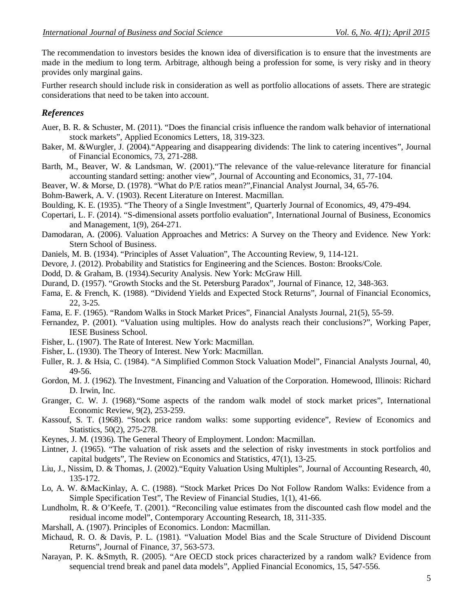The recommendation to investors besides the known idea of diversification is to ensure that the investments are made in the medium to long term. Arbitrage, although being a profession for some, is very risky and in theory provides only marginal gains.

Further research should include risk in consideration as well as portfolio allocations of assets. There are strategic considerations that need to be taken into account.

#### *References*

- Auer, B. R. & Schuster, M. (2011). "Does the financial crisis influence the random walk behavior of international stock markets", Applied Economics Letters, 18, 319-323.
- Baker, M. &Wurgler, J. (2004)."Appearing and disappearing dividends: The link to catering incentives", Journal of Financial Economics, 73, 271-288.
- Barth, M., Beaver, W. & Landsman, W. (2001)."The relevance of the value-relevance literature for financial accounting standard setting: another view", Journal of Accounting and Economics, 31, 77-104.
- Beaver, W. & Morse, D. (1978). "What do P/E ratios mean?",Financial Analyst Journal, 34, 65-76.

Bohm-Bawerk, A. V. (1903). Recent Literature on Interest. Macmillan.

- Boulding, K. E. (1935). "The Theory of a Single Investment", Quarterly Journal of Economics, 49, 479-494.
- Copertari, L. F. (2014). "S-dimensional assets portfolio evaluation", International Journal of Business, Economics and Management, 1(9), 264-271.
- Damodaran, A. (2006). Valuation Approaches and Metrics: A Survey on the Theory and Evidence. New York: Stern School of Business.
- Daniels, M. B. (1934). "Principles of Asset Valuation", The Accounting Review, 9, 114-121.
- Devore, J. (2012). Probability and Statistics for Engineering and the Sciences. Boston: Brooks/Cole.
- Dodd, D. & Graham, B. (1934).Security Analysis. New York: McGraw Hill.
- Durand, D. (1957). "Growth Stocks and the St. Petersburg Paradox", Journal of Finance, 12, 348-363.
- Fama, E. & French, K. (1988). "Dividend Yields and Expected Stock Returns", Journal of Financial Economics, 22, 3-25.
- Fama, E. F. (1965). "Random Walks in Stock Market Prices", Financial Analysts Journal, 21(5), 55-59.
- Fernandez, P. (2001). "Valuation using multiples. How do analysts reach their conclusions?", Working Paper, IESE Business School.
- Fisher, L. (1907). The Rate of Interest. New York: Macmillan.
- Fisher, L. (1930). The Theory of Interest. New York: Macmillan.
- Fuller, R. J. & Hsia, C. (1984). "A Simplified Common Stock Valuation Model", Financial Analysts Journal, 40, 49-56.
- Gordon, M. J. (1962). The Investment, Financing and Valuation of the Corporation. Homewood, Illinois: Richard D. Irwin, Inc.
- Granger, C. W. J. (1968)."Some aspects of the random walk model of stock market prices", International Economic Review, 9(2), 253-259.
- Kassouf, S. T. (1968). "Stock price random walks: some supporting evidence", Review of Economics and Statistics, 50(2), 275-278.
- Keynes, J. M. (1936). The General Theory of Employment. London: Macmillan.
- Lintner, J. (1965). "The valuation of risk assets and the selection of risky investments in stock portfolios and capital budgets", The Review on Economics and Statistics, 47(1), 13-25.
- Liu, J., Nissim, D. & Thomas, J. (2002)."Equity Valuation Using Multiples", Journal of Accounting Research, 40, 135-172.
- Lo, A. W. &MacKinlay, A. C. (1988). "Stock Market Prices Do Not Follow Random Walks: Evidence from a Simple Specification Test", The Review of Financial Studies, 1(1), 41-66.
- Lundholm, R. & O'Keefe, T. (2001). "Reconciling value estimates from the discounted cash flow model and the residual income model", Contemporary Accounting Research, 18, 311-335.
- Marshall, A. (1907). Principles of Economics. London: Macmillan.
- Michaud, R. O. & Davis, P. L. (1981). "Valuation Model Bias and the Scale Structure of Dividend Discount Returns", Journal of Finance, 37, 563-573.
- Narayan, P. K. &Smyth, R. (2005). "Are OECD stock prices characterized by a random walk? Evidence from sequencial trend break and panel data models", Applied Financial Economics, 15, 547-556.